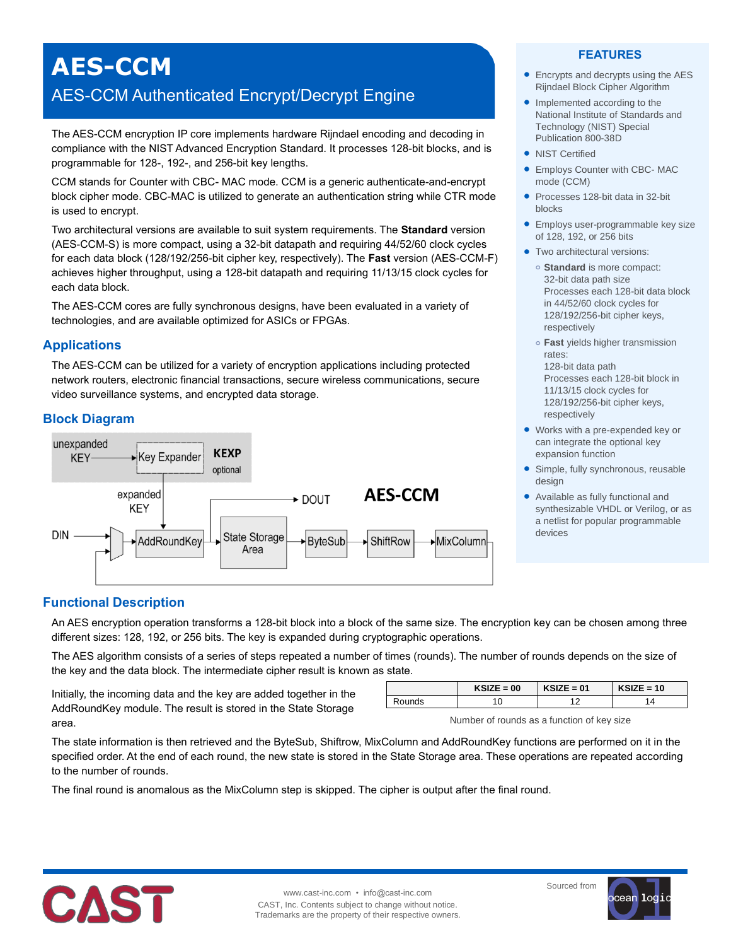# **AES-CCM**

# AES-CCM Authenticated Encrypt/Decrypt Engine

The AES-CCM encryption IP core implements hardware Rijndael encoding and decoding in compliance with the NIST Advanced Encryption Standard. It processes 128-bit blocks, and is programmable for 128-, 192-, and 256-bit key lengths.

CCM stands for Counter with CBC- MAC mode. CCM is a generic authenticate-and-encrypt block cipher mode. CBC-MAC is utilized to generate an authentication string while CTR mode is used to encrypt.

Two architectural versions are available to suit system requirements. The **Standard** version (AES-CCM-S) is more compact, using a 32-bit datapath and requiring 44/52/60 clock cycles for each data block (128/192/256-bit cipher key, respectively). The **Fast** version (AES-CCM-F) achieves higher throughput, using a 128-bit datapath and requiring 11/13/15 clock cycles for each data block.

The AES-CCM cores are fully synchronous designs, have been evaluated in a variety of technologies, and are available optimized for ASICs or FPGAs.

## **Applications**

The AES-CCM can be utilized for a variety of encryption applications including protected network routers, electronic financial transactions, secure wireless communications, secure video surveillance systems, and encrypted data storage.

## **Block Diagram**



#### **FEATURES**

- Encrypts and decrypts using the AES Rijndael Block Cipher Algorithm
- Implemented according to the National Institute of Standards and Technology (NIST) Special Publication 800-38D
- NIST Certified
- Employs Counter with CBC- MAC mode (CCM)
- Processes 128-bit data in 32-bit blocks
- **Employs user-programmable key size** of 128, 192, or 256 bits
- **•** Two architectural versions:
	- **o Standard** is more compact: 32-bit data path size Processes each 128-bit data block in 44/52/60 clock cycles for 128/192/256-bit cipher keys, respectively
	- **o Fast** yields higher transmission rates: 128-bit data path

Processes each 128-bit block in 11/13/15 clock cycles for 128/192/256-bit cipher keys, respectively

- Works with a pre-expended key or can integrate the optional key expansion function
- Simple, fully synchronous, reusable design
- Available as fully functional and synthesizable VHDL or Verilog, or as a netlist for popular programmable devices

#### **Functional Description**

An AES encryption operation transforms a 128-bit block into a block of the same size. The encryption key can be chosen among three different sizes: 128, 192, or 256 bits. The key is expanded during cryptographic operations.

The AES algorithm consists of a series of steps repeated a number of times (rounds). The number of rounds depends on the size of the key and the data block. The intermediate cipher result is known as state.

Initially, the incoming data and the key are added together in the AddRoundKey module. The result is stored in the State Storage area.

| $KSIZE = 00$ | $KSIZE = 01$ | $KSIZE = 10$ |
|--------------|--------------|--------------|
|              |              |              |

Number of rounds as a function of key size

The state information is then retrieved and the ByteSub, Shiftrow, MixColumn and AddRoundKey functions are performed on it in the specified order. At the end of each round, the new state is stored in the State Storage area. These operations are repeated according to the number of rounds.

The final round is anomalous as the MixColumn step is skipped. The cipher is output after the final round.